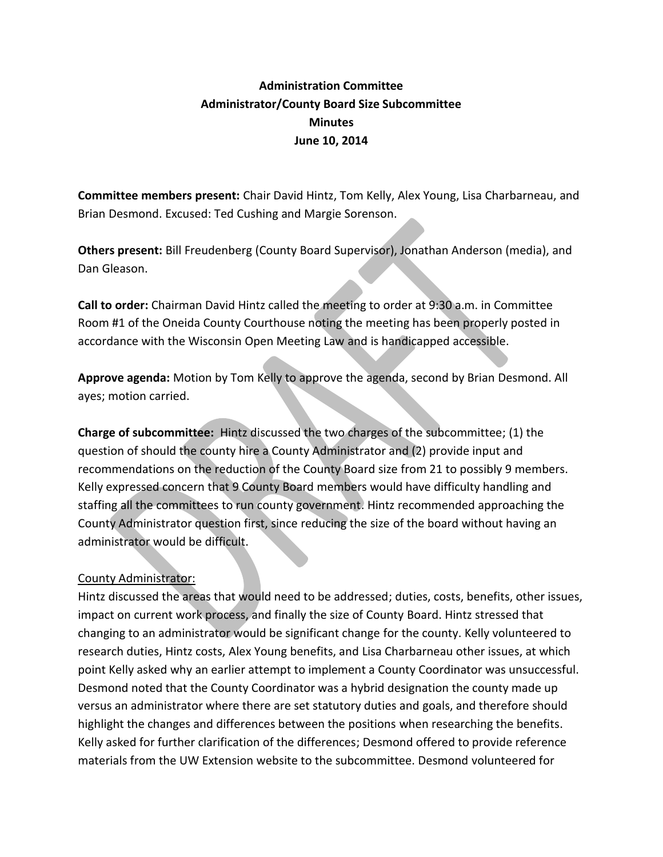## **Administration Committee Administrator/County Board Size Subcommittee Minutes June 10, 2014**

**Committee members present:** Chair David Hintz, Tom Kelly, Alex Young, Lisa Charbarneau, and Brian Desmond. Excused: Ted Cushing and Margie Sorenson.

**Others present:** Bill Freudenberg (County Board Supervisor), Jonathan Anderson (media), and Dan Gleason.

**Call to order:** Chairman David Hintz called the meeting to order at 9:30 a.m. in Committee Room #1 of the Oneida County Courthouse noting the meeting has been properly posted in accordance with the Wisconsin Open Meeting Law and is handicapped accessible.

**Approve agenda:** Motion by Tom Kelly to approve the agenda, second by Brian Desmond. All ayes; motion carried.

**Charge of subcommittee:** Hintz discussed the two charges of the subcommittee; (1) the question of should the county hire a County Administrator and (2) provide input and recommendations on the reduction of the County Board size from 21 to possibly 9 members. Kelly expressed concern that 9 County Board members would have difficulty handling and staffing all the committees to run county government. Hintz recommended approaching the County Administrator question first, since reducing the size of the board without having an administrator would be difficult.

## County Administrator:

Hintz discussed the areas that would need to be addressed; duties, costs, benefits, other issues, impact on current work process, and finally the size of County Board. Hintz stressed that changing to an administrator would be significant change for the county. Kelly volunteered to research duties, Hintz costs, Alex Young benefits, and Lisa Charbarneau other issues, at which point Kelly asked why an earlier attempt to implement a County Coordinator was unsuccessful. Desmond noted that the County Coordinator was a hybrid designation the county made up versus an administrator where there are set statutory duties and goals, and therefore should highlight the changes and differences between the positions when researching the benefits. Kelly asked for further clarification of the differences; Desmond offered to provide reference materials from the UW Extension website to the subcommittee. Desmond volunteered for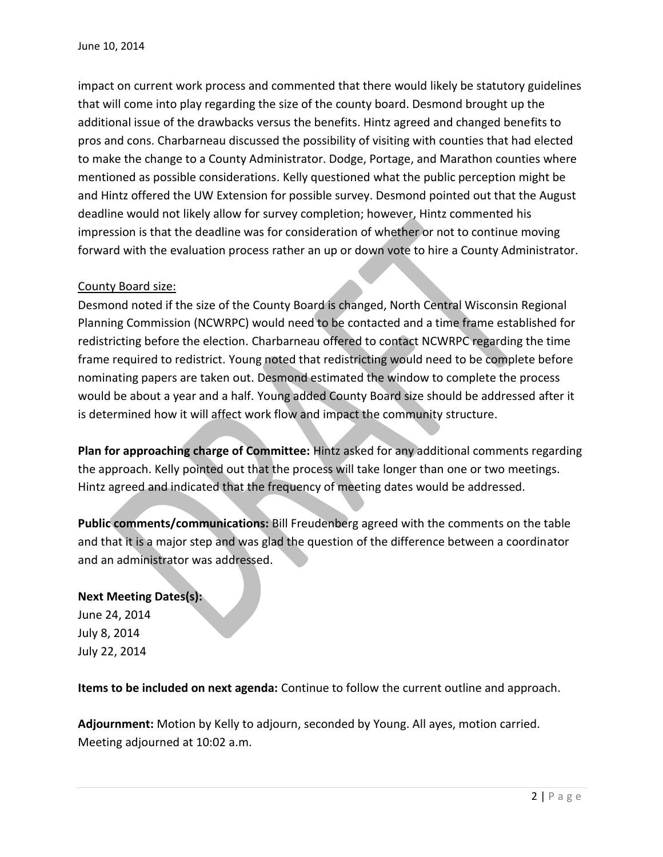impact on current work process and commented that there would likely be statutory guidelines that will come into play regarding the size of the county board. Desmond brought up the additional issue of the drawbacks versus the benefits. Hintz agreed and changed benefits to pros and cons. Charbarneau discussed the possibility of visiting with counties that had elected to make the change to a County Administrator. Dodge, Portage, and Marathon counties where mentioned as possible considerations. Kelly questioned what the public perception might be and Hintz offered the UW Extension for possible survey. Desmond pointed out that the August deadline would not likely allow for survey completion; however, Hintz commented his impression is that the deadline was for consideration of whether or not to continue moving forward with the evaluation process rather an up or down vote to hire a County Administrator.

## County Board size:

Desmond noted if the size of the County Board is changed, North Central Wisconsin Regional Planning Commission (NCWRPC) would need to be contacted and a time frame established for redistricting before the election. Charbarneau offered to contact NCWRPC regarding the time frame required to redistrict. Young noted that redistricting would need to be complete before nominating papers are taken out. Desmond estimated the window to complete the process would be about a year and a half. Young added County Board size should be addressed after it is determined how it will affect work flow and impact the community structure.

**Plan for approaching charge of Committee:** Hintz asked for any additional comments regarding the approach. Kelly pointed out that the process will take longer than one or two meetings. Hintz agreed and indicated that the frequency of meeting dates would be addressed.

**Public comments/communications:** Bill Freudenberg agreed with the comments on the table and that it is a major step and was glad the question of the difference between a coordinator and an administrator was addressed.

## **Next Meeting Dates(s):**

June 24, 2014 July 8, 2014 July 22, 2014

**Items to be included on next agenda:** Continue to follow the current outline and approach.

**Adjournment:** Motion by Kelly to adjourn, seconded by Young. All ayes, motion carried. Meeting adjourned at 10:02 a.m.